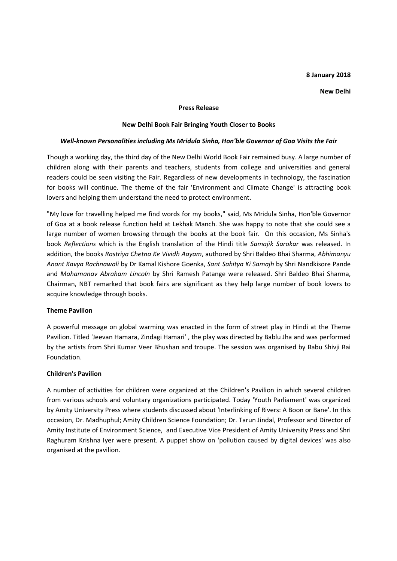## **8 January 2018**

#### **New Delhi**

#### **Press Release**

## **New Delhi Book Fair Bringing Youth Closer to Books**

## *Well-known Personalities including Ms Mridula Sinha, Hon'ble Governor of Goa Visits the Fair*

Though a working day, the third day of the New Delhi World Book Fair remained busy. A large number of children along with their parents and teachers, students from college and universities and general readers could be seen visiting the Fair. Regardless of new developments in technology, the fascination for books will continue. The theme of the fair 'Environment and Climate Change' is attracting book lovers and helping them understand the need to protect environment.

"My love for travelling helped me find words for my books," said, Ms Mridula Sinha, Hon'ble Governor of Goa at a book release function held at Lekhak Manch. She was happy to note that she could see a large number of women browsing through the books at the book fair. On this occasion, Ms Sinha's book *Reflections* which is the English translation of the Hindi title *Samajik Sarokar* was released. In addition, the books *Rastriya Chetna Ke Vividh Aayam*, authored by Shri Baldeo Bhai Sharma, *Abhimanyu Anant Kavya Rachnawali* by Dr Kamal Kishore Goenka, *Sant Sahitya Ki Samajh* by Shri Nandkisore Pande and *Mahamanav Abraham Lincoln* by Shri Ramesh Patange were released. Shri Baldeo Bhai Sharma, Chairman, NBT remarked that book fairs are significant as they help large number of book lovers to acquire knowledge through books.

## **Theme Pavilion**

A powerful message on global warming was enacted in the form of street play in Hindi at the Theme Pavilion. Titled 'Jeevan Hamara, Zindagi Hamari' , the play was directed by Bablu Jha and was performed by the artists from Shri Kumar Veer Bhushan and troupe. The session was organised by Babu Shivji Rai Foundation.

## **Children's Pavilion**

A number of activities for children were organized at the Children's Pavilion in which several children from various schools and voluntary organizations participated. Today 'Youth Parliament' was organized by Amity University Press where students discussed about 'Interlinking of Rivers: A Boon or Bane'. In this occasion, Dr. Madhuphul; Amity Children Science Foundation; Dr. Tarun Jindal, Professor and Director of Amity Institute of Environment Science, and Executive Vice President of Amity University Press and Shri Raghuram Krishna Iyer were present. A puppet show on 'pollution caused by digital devices' was also organised at the pavilion.